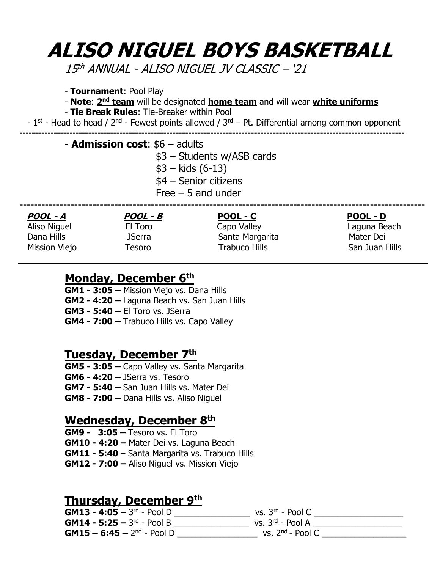# **ALISO NIGUEL BOYS BASKETBALL**

15 th ANNUAL - ALISO NIGUEL JV CLASSIC – '21

- **Tournament**: Pool Play
- **Note: 2<sup>nd</sup> team** will be designated *home team* and will wear *white uniforms*
- **Tie Break Rules**: Tie-Breaker within Pool

- 1<sup>st</sup> - Head to head / 2<sup>nd</sup> - Fewest points allowed /  $3<sup>rd</sup>$  – Pt. Differential among common opponent ---------------------------------------------------------------------------------------------------------------------------

#### - **Admission cost**: \$6 – adults

\$3 – Students w/ASB cards

- $$3 kids (6-13)$
- \$4 Senior citizens
- Free 5 and under

| POOL - D       |
|----------------|
| Laguna Beach   |
| Mater Dei      |
| San Juan Hills |
|                |

#### **Monday, December 6 th**

**GM1 - 3:05 –** Mission Viejo vs. Dana Hills **GM2 - 4:20 –** Laguna Beach vs. San Juan Hills **GM3 - 5:40 –** El Toro vs. JSerra **GM4 - 7:00 –** Trabuco Hills vs. Capo Valley

#### **Tuesday, December 7 th**

**GM5 - 3:05 –** Capo Valley vs. Santa Margarita **GM6 - 4:20 –** JSerra vs. Tesoro **GM7 - 5:40 –** San Juan Hills vs. Mater Dei **GM8 - 7:00 –** Dana Hills vs. Aliso Niguel

#### **Wednesday, December 8th**

**GM9 - 3:05 –** Tesoro vs. El Toro **GM10 - 4:20 –** Mater Dei vs. Laguna Beach **GM11 - 5:40** – Santa Margarita vs. Trabuco Hills **GM12 - 7:00 –** Aliso Niguel vs. Mission Viejo

#### **Thursday, December 9 th**

**GM13 - 4:05 –** 3<sup>rd</sup> - Pool D \_\_\_\_\_\_\_\_\_\_\_\_\_\_\_\_\_\_\_\_\_ vs. 3<sup>rd</sup> - Pool C \_\_\_\_\_\_\_\_\_\_\_\_\_\_\_\_\_\_\_ **GM14 - 5:25 –** 3<sup>rd</sup> - Pool B \_\_\_\_\_\_\_\_\_\_\_\_\_\_\_\_\_\_\_\_\_ vs. 3<sup>rd</sup> - Pool A \_\_\_\_\_\_\_\_\_\_\_\_\_\_\_\_\_\_\_ **GM15 – 6:45 –** 2<sup>nd</sup> - Pool D \_\_\_\_\_\_\_\_\_\_\_\_\_\_\_\_\_\_\_\_\_\_\_\_ vs. 2<sup>nd</sup> - Pool C \_\_\_\_\_\_\_\_\_\_\_\_\_\_\_\_\_\_